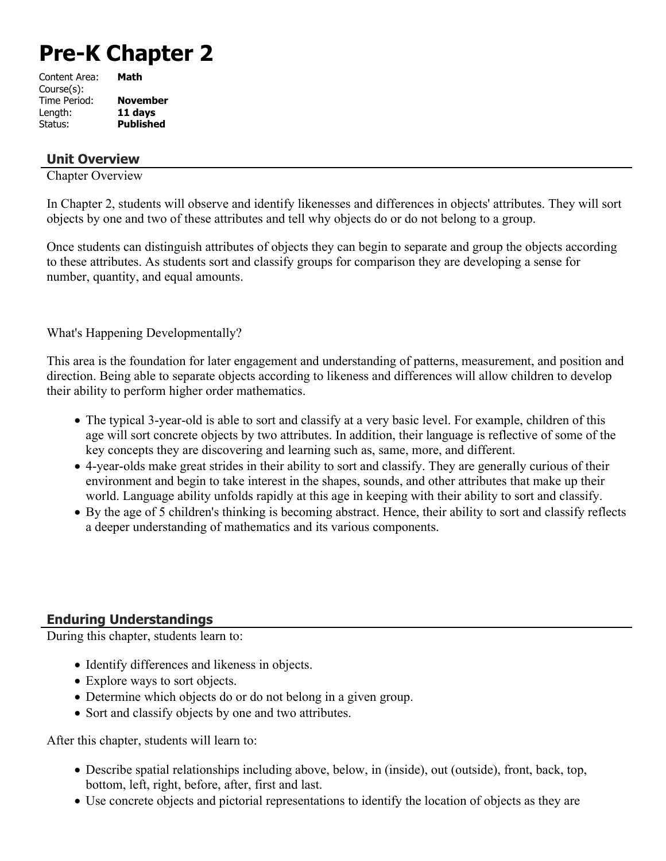# **Pre-K Chapter 2**

| Content Area: | Math             |
|---------------|------------------|
| Course(s):    |                  |
| Time Period:  | <b>November</b>  |
| Length:       | 11 days          |
| Status:       | <b>Published</b> |
|               |                  |

# **Unit Overview**

Chapter Overview

In Chapter 2, students will observe and identify likenesses and differences in objects' attributes. They will sort objects by one and two of these attributes and tell why objects do or do not belong to a group.

Once students can distinguish attributes of objects they can begin to separate and group the objects according to these attributes. As students sort and classify groups for comparison they are developing a sense for number, quantity, and equal amounts.

What's Happening Developmentally?

This area is the foundation for later engagement and understanding of patterns, measurement, and position and direction. Being able to separate objects according to likeness and differences will allow children to develop their ability to perform higher order mathematics.

- The typical 3-year-old is able to sort and classify at a very basic level. For example, children of this age will sort concrete objects by two attributes. In addition, their language is reflective of some of the key concepts they are discovering and learning such as, same, more, and different.
- 4-year-olds make great strides in their ability to sort and classify. They are generally curious of their environment and begin to take interest in the shapes, sounds, and other attributes that make up their world. Language ability unfolds rapidly at this age in keeping with their ability to sort and classify.
- By the age of 5 children's thinking is becoming abstract. Hence, their ability to sort and classify reflects a deeper understanding of mathematics and its various components.

# **Enduring Understandings**

During this chapter, students learn to:

- Identify differences and likeness in objects.
- Explore ways to sort objects.
- Determine which objects do or do not belong in a given group.
- Sort and classify objects by one and two attributes.

After this chapter, students will learn to:

- Describe spatial relationships including above, below, in (inside), out (outside), front, back, top, bottom, left, right, before, after, first and last.
- Use concrete objects and pictorial representations to identify the location of objects as they are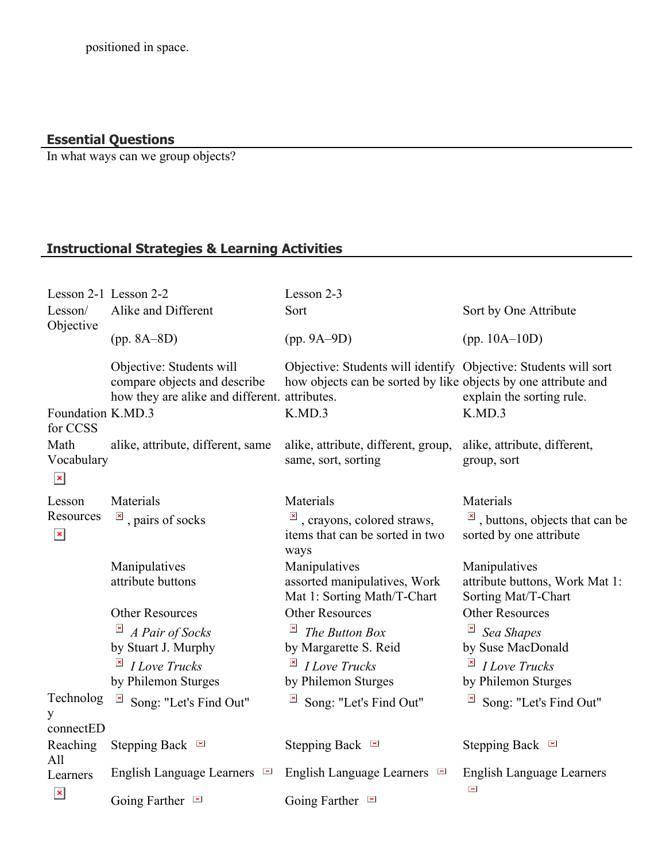#### **Essential Questions**

In what ways can we group objects?

# **Instructional Strategies & Learning Activities**

| Lesson 2-1 Lesson 2-2              |                                                                                                           | Lesson 2-3                                                                                                                        |                                                                          |
|------------------------------------|-----------------------------------------------------------------------------------------------------------|-----------------------------------------------------------------------------------------------------------------------------------|--------------------------------------------------------------------------|
| Lesson/<br>Objective               | Alike and Different                                                                                       | Sort                                                                                                                              | Sort by One Attribute                                                    |
|                                    | $(pp. 8A-8D)$                                                                                             | $(pp. 9A-9D)$                                                                                                                     | $(pp. 10A-10D)$                                                          |
|                                    | Objective: Students will<br>compare objects and describe<br>how they are alike and different. attributes. | Objective: Students will identify Objective: Students will sort<br>how objects can be sorted by like objects by one attribute and | explain the sorting rule.                                                |
| Foundation K.MD.3<br>for CCSS      |                                                                                                           | K.MD.3                                                                                                                            | K.MD.3                                                                   |
| Math<br>Vocabulary<br>$\mathbf{x}$ | alike, attribute, different, same                                                                         | alike, attribute, different, group,<br>same, sort, sorting                                                                        | alike, attribute, different,<br>group, sort                              |
| Lesson                             | Materials                                                                                                 | Materials                                                                                                                         | Materials                                                                |
| Resources<br>$\mathbf{x}$          | $\overline{\mathbb{F}}$ , pairs of socks                                                                  | $\frac{ \mathbf{x} }{n}$ , crayons, colored straws,<br>items that can be sorted in two<br>ways                                    | $\overline{a}$ , buttons, objects that can be<br>sorted by one attribute |
|                                    | Manipulatives<br>attribute buttons                                                                        | Manipulatives<br>assorted manipulatives, Work<br>Mat 1: Sorting Math/T-Chart                                                      | Manipulatives<br>attribute buttons, Work Mat 1:<br>Sorting Mat/T-Chart   |
|                                    | <b>Other Resources</b>                                                                                    | <b>Other Resources</b>                                                                                                            | <b>Other Resources</b>                                                   |
|                                    | $\mathbf{x}$<br>A Pair of Socks                                                                           | $\pmb{\times}$<br>The Button Box                                                                                                  | $\pmb{\times}$<br>Sea Shapes                                             |
|                                    | by Stuart J. Murphy                                                                                       | by Margarette S. Reid                                                                                                             | by Suse MacDonald                                                        |
|                                    | $\pmb{\times}$<br><b>I</b> Love Trucks                                                                    | <b><i>I Love Trucks</i></b>                                                                                                       | $\pmb{\times}$<br><b>I</b> Love Trucks                                   |
|                                    | by Philemon Sturges                                                                                       | by Philemon Sturges                                                                                                               | by Philemon Sturges                                                      |
| Technolog<br>y<br>connectED        | $\pmb{\times}$<br>Song: "Let's Find Out"                                                                  | $\boldsymbol{\mathsf{x}}$<br>Song: "Let's Find Out"                                                                               | $\overline{\mathbb{F}}$ Song: "Let's Find Out"                           |
| Reaching<br>All                    | Stepping Back $\blacksquare$                                                                              | Stepping Back $\blacksquare$                                                                                                      | Stepping Back $\blacksquare$                                             |
| Learners                           | English Language Learners $\blacksquare$                                                                  | English Language Learners $\blacksquare$                                                                                          | <b>English Language Learners</b><br>$\pmb{\times}$                       |
| $\pmb{\times}$                     | Going Farther $\blacksquare$                                                                              | Going Farther $\blacksquare$                                                                                                      |                                                                          |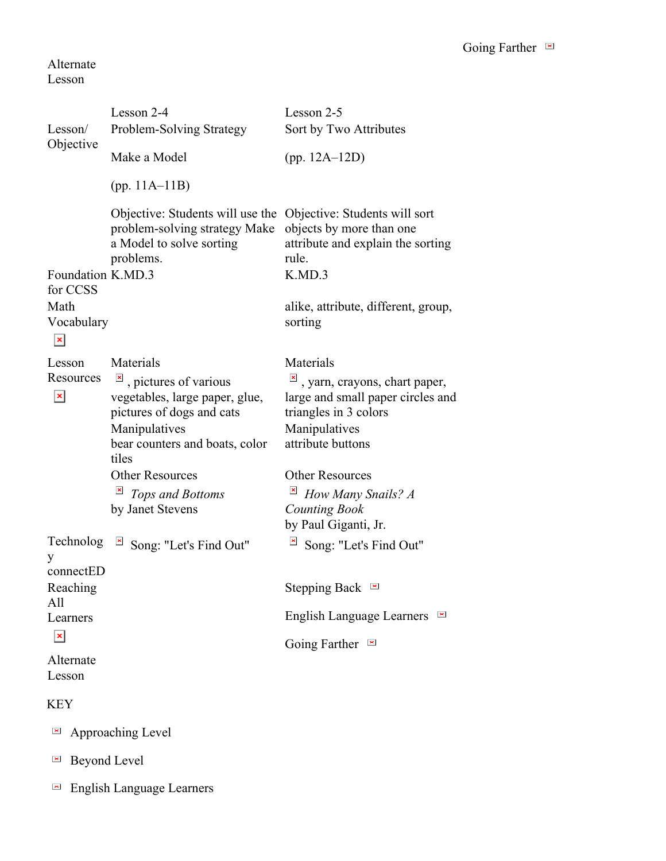#### Alternate Lesson

|                                                             | Lesson 2-4                                                                                                                                                                                                  | Lesson 2-5                                                                                                                                                                                     |
|-------------------------------------------------------------|-------------------------------------------------------------------------------------------------------------------------------------------------------------------------------------------------------------|------------------------------------------------------------------------------------------------------------------------------------------------------------------------------------------------|
| Lesson/<br>Objective                                        | Problem-Solving Strategy                                                                                                                                                                                    | Sort by Two Attributes                                                                                                                                                                         |
|                                                             | Make a Model                                                                                                                                                                                                | (pp. $12A-12D$ )                                                                                                                                                                               |
|                                                             | (pp. $11A-11B$ )                                                                                                                                                                                            |                                                                                                                                                                                                |
| Foundation K.MD.3                                           | Objective: Students will use the Objective: Students will sort<br>problem-solving strategy Make<br>a Model to solve sorting<br>problems.                                                                    | objects by more than one<br>attribute and explain the sorting<br>rule.<br>K.MD.3                                                                                                               |
| for CCSS<br>Math<br>Vocabulary<br>$\boldsymbol{\mathsf{x}}$ |                                                                                                                                                                                                             | alike, attribute, different, group,<br>sorting                                                                                                                                                 |
| Lesson<br>Resources<br>$\pmb{\times}$                       | Materials<br>, pictures of various<br>vegetables, large paper, glue,<br>pictures of dogs and cats<br>Manipulatives<br>bear counters and boats, color<br>tiles<br><b>Other Resources</b><br>Tops and Bottoms | Materials<br>, yarn, crayons, chart paper,<br>large and small paper circles and<br>triangles in 3 colors<br>Manipulatives<br>attribute buttons<br><b>Other Resources</b><br>How Many Snails? A |
|                                                             | by Janet Stevens                                                                                                                                                                                            | <b>Counting Book</b><br>by Paul Giganti, Jr.                                                                                                                                                   |
| Technolog<br>y                                              | Song: "Let's Find Out"                                                                                                                                                                                      | Song: "Let's Find Out"                                                                                                                                                                         |
| connectED<br>Reaching                                       |                                                                                                                                                                                                             | Stepping Back $\blacksquare$                                                                                                                                                                   |
| All<br>Learners                                             |                                                                                                                                                                                                             | <b>English Language Learners</b><br>$\blacktriangleright$                                                                                                                                      |
| $\pmb{\times}$                                              |                                                                                                                                                                                                             | Going Farther                                                                                                                                                                                  |
| Alternate<br>Lesson                                         |                                                                                                                                                                                                             |                                                                                                                                                                                                |
| <b>KEY</b>                                                  |                                                                                                                                                                                                             |                                                                                                                                                                                                |
| $\blacktriangleright$                                       | Approaching Level                                                                                                                                                                                           |                                                                                                                                                                                                |

- $\blacksquare$  Beyond Level
- English Language Learners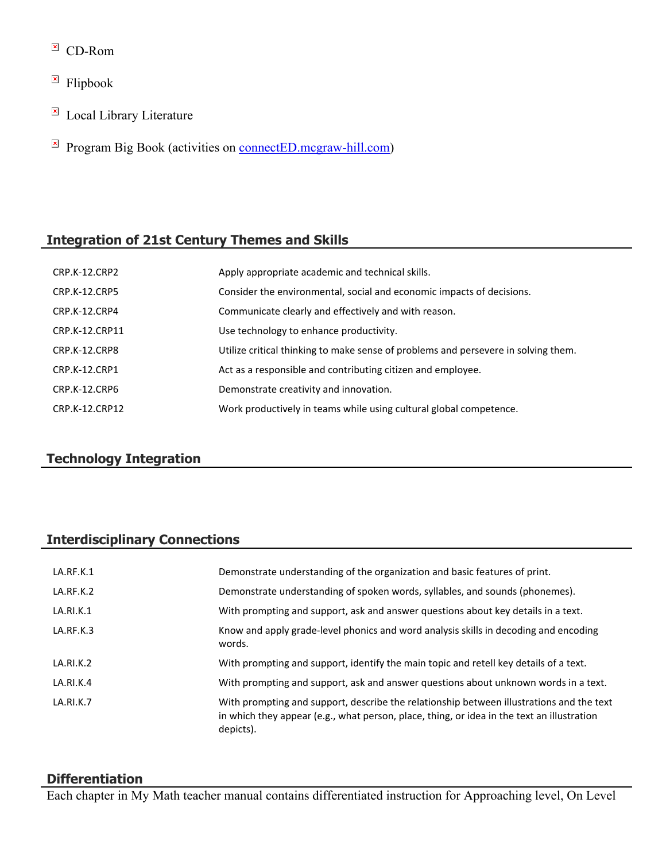- $\overline{C}$  CD-Rom
- $\overline{\phantom{a}}$  Flipbook
- $\overline{\mathbb{E}}$  Local Library Literature
- $\mathbb{F}$  Program Big Book (activities on [connectED.mcgraw-hill.com](https://connected.mcgraw-hill.com/))

# **Integration of 21st Century Themes and Skills**

| CRP.K-12.CRP2        | Apply appropriate academic and technical skills.                                   |
|----------------------|------------------------------------------------------------------------------------|
| <b>CRP.K-12.CRP5</b> | Consider the environmental, social and economic impacts of decisions.              |
| CRP.K-12.CRP4        | Communicate clearly and effectively and with reason.                               |
| CRP.K-12.CRP11       | Use technology to enhance productivity.                                            |
| CRP.K-12.CRP8        | Utilize critical thinking to make sense of problems and persevere in solving them. |
| CRP.K-12.CRP1        | Act as a responsible and contributing citizen and employee.                        |
| CRP.K-12.CRP6        | Demonstrate creativity and innovation.                                             |
| CRP.K-12.CRP12       | Work productively in teams while using cultural global competence.                 |

# **Technology Integration**

# **Interdisciplinary Connections**

| LA.RF.K.1 | Demonstrate understanding of the organization and basic features of print.                                                                                                                          |
|-----------|-----------------------------------------------------------------------------------------------------------------------------------------------------------------------------------------------------|
| LA.RF.K.2 | Demonstrate understanding of spoken words, syllables, and sounds (phonemes).                                                                                                                        |
| LA.RI.K.1 | With prompting and support, ask and answer questions about key details in a text.                                                                                                                   |
| LA.RF.K.3 | Know and apply grade-level phonics and word analysis skills in decoding and encoding<br>words.                                                                                                      |
| LA.RI.K.2 | With prompting and support, identify the main topic and retell key details of a text.                                                                                                               |
| LA.RI.K.4 | With prompting and support, ask and answer questions about unknown words in a text.                                                                                                                 |
| LA.RI.K.7 | With prompting and support, describe the relationship between illustrations and the text<br>in which they appear (e.g., what person, place, thing, or idea in the text an illustration<br>depicts). |

### **Differentiation**

Each chapter in My Math teacher manual contains differentiated instruction for Approaching level, On Level